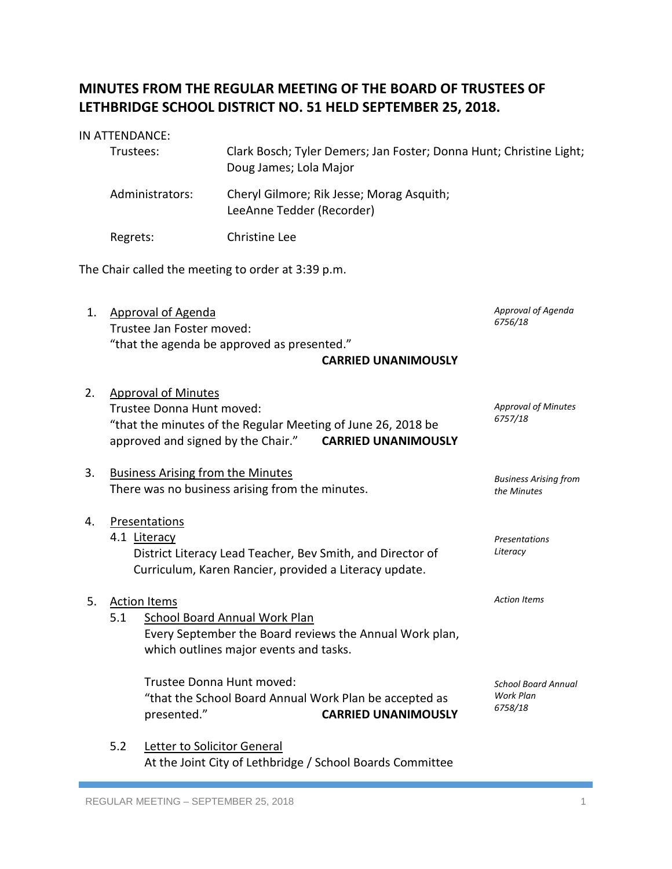## **MINUTES FROM THE REGULAR MEETING OF THE BOARD OF TRUSTEES OF LETHBRIDGE SCHOOL DISTRICT NO. 51 HELD SEPTEMBER 25, 2018.**

# IN ATTENDANCE: Trustees: Clark Bosch; Tyler Demers; Jan Foster; Donna Hunt; Christine Light; Doug James; Lola Major Administrators: Cheryl Gilmore; Rik Jesse; Morag Asquith; LeeAnne Tedder (Recorder) Regrets: Christine Lee The Chair called the meeting to order at 3:39 p.m. 1. Approval of Agenda *Approval of Agenda*

- Trustee Jan Foster moved: "that the agenda be approved as presented." **CARRIED UNANIMOUSLY** *6756/18*
- 2. Approval of Minutes Trustee Donna Hunt moved: "that the minutes of the Regular Meeting of June 26, 2018 be approved and signed by the Chair." **CARRIED UNANIMOUSLY** *Approval of Minutes 6757/18*

### 3. Business Arising from the Minutes There was no business arising from the minutes.

- 4. Presentations 4.1 Literacy District Literacy Lead Teacher, Bev Smith, and Director of Curriculum, Karen Rancier, provided a Literacy update. *Presentations Literacy*
- 5. Action Items 5.1 School Board Annual Work Plan Every September the Board reviews the Annual Work plan, which outlines major events and tasks. *Action Items*
	- Trustee Donna Hunt moved: "that the School Board Annual Work Plan be accepted as presented." **CARRIED UNANIMOUSLY** *School Board Annual Work Plan 6758/18*
	- 5.2 Letter to Solicitor General At the Joint City of Lethbridge / School Boards Committee

*Business Arising from* 

*the Minutes*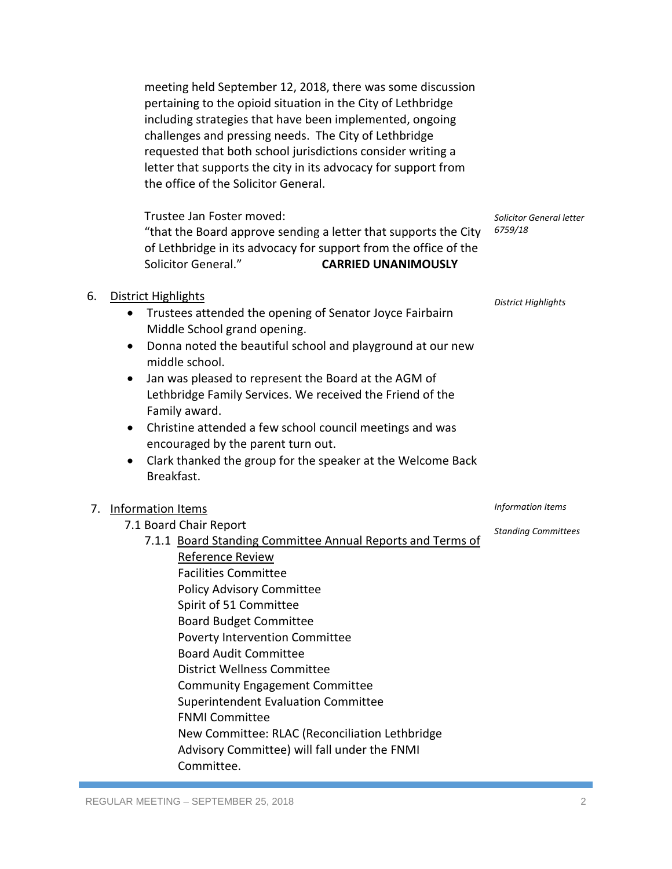meeting held September 12, 2018, there was some discussion pertaining to the opioid situation in the City of Lethbridge including strategies that have been implemented, ongoing challenges and pressing needs. The City of Lethbridge requested that both school jurisdictions consider writing a letter that supports the city in its advocacy for support from the office of the Solicitor General.

Trustee Jan Foster moved:

"that the Board approve sending a letter that supports the City *6759/18* of Lethbridge in its advocacy for support from the office of the Solicitor General." **CARRIED UNANIMOUSLY**

#### 6. District Highlights

- Trustees attended the opening of Senator Joyce Fairbairn Middle School grand opening.
- Donna noted the beautiful school and playground at our new middle school.
- Jan was pleased to represent the Board at the AGM of Lethbridge Family Services. We received the Friend of the Family award.
- Christine attended a few school council meetings and was encouraged by the parent turn out.
- Clark thanked the group for the speaker at the Welcome Back Breakfast.

#### 7. Information Items

- 7.1 Board Chair Report
	- 7.1.1 Board Standing Committee Annual Reports and Terms of Reference Review

*Solicitor General letter*

*District Highlights*

*Information Items*

*Standing Committees*

Facilities Committee Policy Advisory Committee Spirit of 51 Committee Board Budget Committee Poverty Intervention Committee Board Audit Committee District Wellness Committee Community Engagement Committee Superintendent Evaluation Committee FNMI Committee New Committee: RLAC (Reconciliation Lethbridge Advisory Committee) will fall under the FNMI Committee.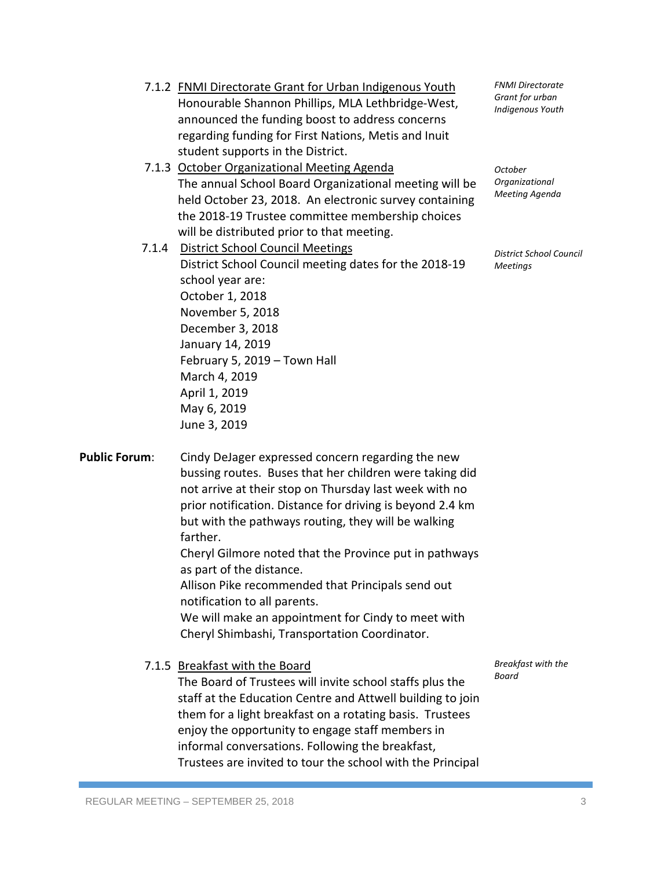| 7.1.2 FNMI Directorate Grant for Urban Indigenous Youth |  |  |
|---------------------------------------------------------|--|--|
| Honourable Shannon Phillips, MLA Lethbridge-West,       |  |  |
| announced the funding boost to address concerns         |  |  |
| regarding funding for First Nations, Metis and Inuit    |  |  |
| student supports in the District.                       |  |  |

7.1.3 October Organizational Meeting Agenda The annual School Board Organizational meeting will be held October 23, 2018. An electronic survey containing the 2018-19 Trustee committee membership choices will be distributed prior to that meeting.

7.1.4 District School Council Meetings District School Council meeting dates for the 2018-19 school year are: October 1, 2018 November 5, 2018 December 3, 2018 January 14, 2019 February 5, 2019 – Town Hall March 4, 2019 April 1, 2019 May 6, 2019 June 3, 2019

*FNMI Directorate Grant for urban Indigenous Youth*

*October Organizational Meeting Agenda*

*District School Council Meetings*

Public Forum: Cindy DeJager expressed concern regarding the new bussing routes. Buses that her children were taking did not arrive at their stop on Thursday last week with no prior notification. Distance for driving is beyond 2.4 km but with the pathways routing, they will be walking farther. Cheryl Gilmore noted that the Province put in pathways as part of the distance. Allison Pike recommended that Principals send out

notification to all parents.

We will make an appointment for Cindy to meet with Cheryl Shimbashi, Transportation Coordinator.

7.1.5 Breakfast with the Board

The Board of Trustees will invite school staffs plus the staff at the Education Centre and Attwell building to join them for a light breakfast on a rotating basis. Trustees enjoy the opportunity to engage staff members in informal conversations. Following the breakfast, Trustees are invited to tour the school with the Principal

*Breakfast with the Board*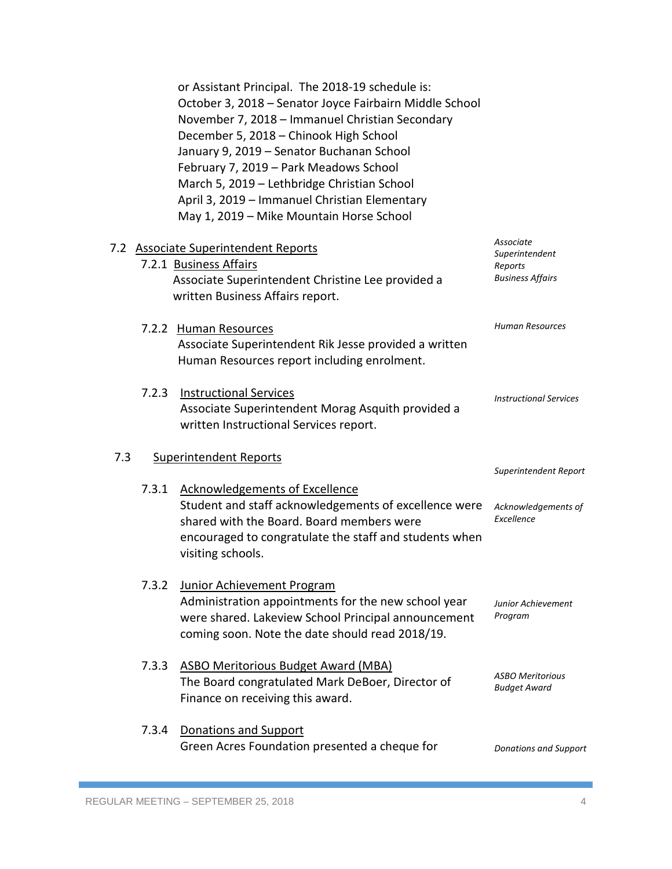|     |       | or Assistant Principal. The 2018-19 schedule is:<br>October 3, 2018 - Senator Joyce Fairbairn Middle School<br>November 7, 2018 - Immanuel Christian Secondary<br>December 5, 2018 - Chinook High School<br>January 9, 2019 - Senator Buchanan School<br>February 7, 2019 - Park Meadows School<br>March 5, 2019 - Lethbridge Christian School<br>April 3, 2019 - Immanuel Christian Elementary<br>May 1, 2019 - Mike Mountain Horse School |                                                                   |
|-----|-------|---------------------------------------------------------------------------------------------------------------------------------------------------------------------------------------------------------------------------------------------------------------------------------------------------------------------------------------------------------------------------------------------------------------------------------------------|-------------------------------------------------------------------|
|     |       | 7.2 Associate Superintendent Reports<br>7.2.1 Business Affairs<br>Associate Superintendent Christine Lee provided a<br>written Business Affairs report.                                                                                                                                                                                                                                                                                     | Associate<br>Superintendent<br>Reports<br><b>Business Affairs</b> |
|     |       | 7.2.2 Human Resources<br>Associate Superintendent Rik Jesse provided a written<br>Human Resources report including enrolment.                                                                                                                                                                                                                                                                                                               | <b>Human Resources</b>                                            |
|     | 7.2.3 | <b>Instructional Services</b><br>Associate Superintendent Morag Asquith provided a<br>written Instructional Services report.                                                                                                                                                                                                                                                                                                                | <b>Instructional Services</b>                                     |
| 7.3 |       | <b>Superintendent Reports</b>                                                                                                                                                                                                                                                                                                                                                                                                               | Superintendent Report                                             |
|     | 7.3.1 | <b>Acknowledgements of Excellence</b><br>Student and staff acknowledgements of excellence were<br>shared with the Board. Board members were<br>encouraged to congratulate the staff and students when<br>visiting schools.                                                                                                                                                                                                                  | Acknowledgements of<br>Excellence                                 |
|     | 7.3.2 | <b>Junior Achievement Program</b><br>Administration appointments for the new school year<br>were shared. Lakeview School Principal announcement<br>coming soon. Note the date should read 2018/19.                                                                                                                                                                                                                                          | <b>Junior Achievement</b><br>Program                              |
|     | 7.3.3 | <b>ASBO Meritorious Budget Award (MBA)</b><br>The Board congratulated Mark DeBoer, Director of<br>Finance on receiving this award.                                                                                                                                                                                                                                                                                                          | <b>ASBO Meritorious</b><br><b>Budget Award</b>                    |
|     | 7.3.4 | <b>Donations and Support</b><br>Green Acres Foundation presented a cheque for                                                                                                                                                                                                                                                                                                                                                               | <b>Donations and Support</b>                                      |
|     |       |                                                                                                                                                                                                                                                                                                                                                                                                                                             |                                                                   |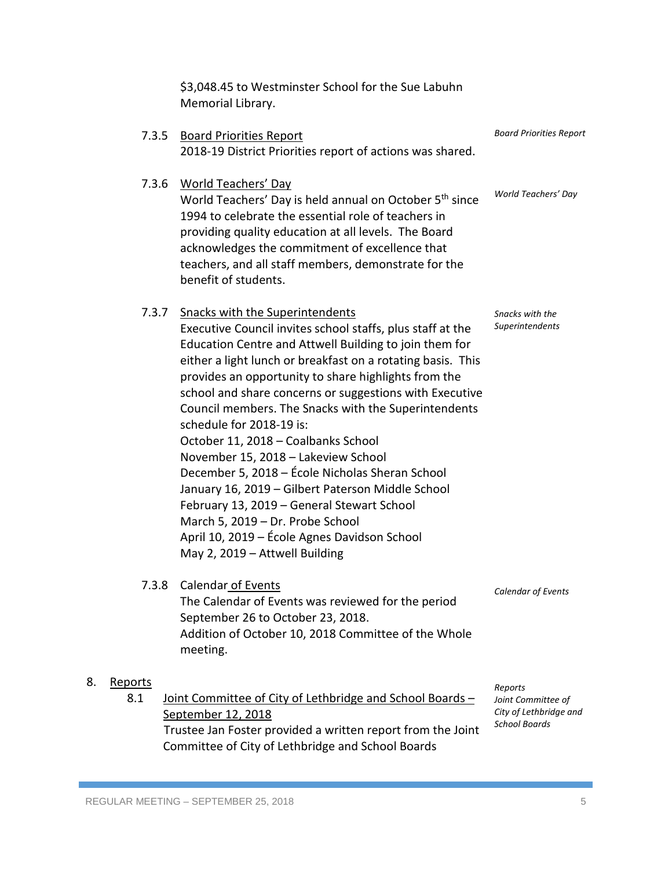\$3,048.45 to Westminster School for the Sue Labuhn Memorial Library. 7.3.5 Board Priorities Report 2018-19 District Priorities report of actions was shared. 7.3.6 World Teachers' Day World Teachers' Day is held annual on October 5<sup>th</sup> since 1994 to celebrate the essential role of teachers in providing quality education at all levels. The Board acknowledges the commitment of excellence that teachers, and all staff members, demonstrate for the benefit of students. 7.3.7 Snacks with the Superintendents Executive Council invites school staffs, plus staff at the Education Centre and Attwell Building to join them for either a light lunch or breakfast on a rotating basis. This provides an opportunity to share highlights from the school and share concerns or suggestions with Executive Council members. The Snacks with the Superintendents schedule for 2018-19 is: October 11, 2018 – Coalbanks School November 15, 2018 – Lakeview School December 5, 2018 – École Nicholas Sheran School January 16, 2019 – Gilbert Paterson Middle School February 13, 2019 – General Stewart School March 5, 2019 – Dr. Probe School April 10, 2019 – École Agnes Davidson School May 2, 2019 – Attwell Building 7.3.8 Calendar of Events The Calendar of Events was reviewed for the period September 26 to October 23, 2018. Addition of October 10, 2018 Committee of the Whole meeting. 8. Reports 8.1 Joint Committee of City of Lethbridge and School Boards – September 12, 2018 Trustee Jan Foster provided a written report from the Joint Committee of City of Lethbridge and School Boards *Board Priorities Report World Teachers' Day Snacks with the Superintendents Calendar of Events Reports Joint Committee of City of Lethbridge and School Boards*